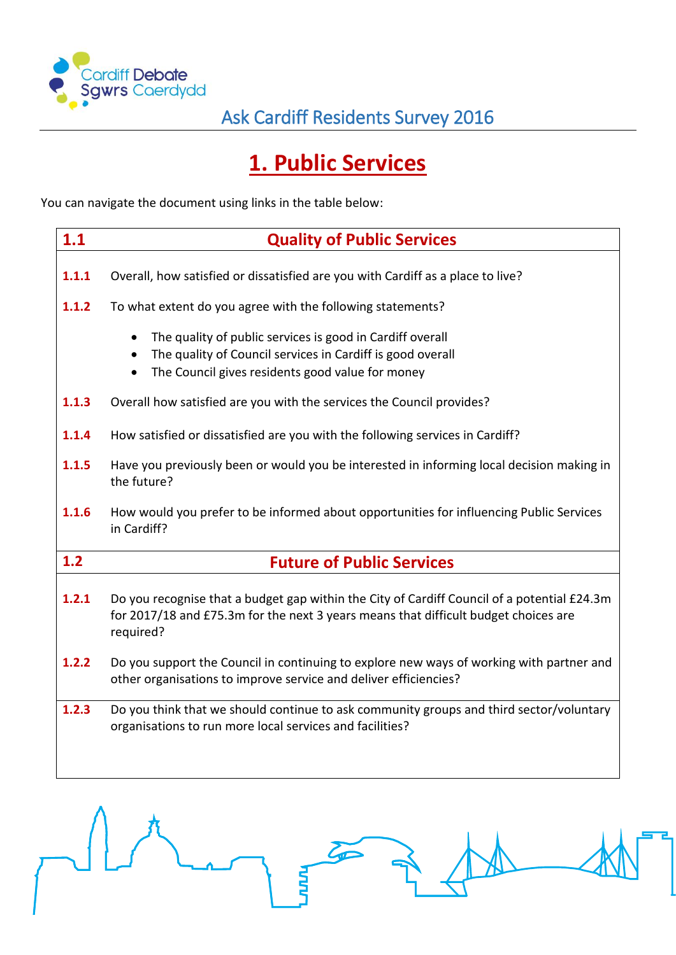

# **1. Public Services**

You can navigate the document using links in the table below:

| 1.1   | <b>Quality of Public Services</b>                                                                                                                                                                                  |  |  |  |  |
|-------|--------------------------------------------------------------------------------------------------------------------------------------------------------------------------------------------------------------------|--|--|--|--|
| 1.1.1 | Overall, how satisfied or dissatisfied are you with Cardiff as a place to live?                                                                                                                                    |  |  |  |  |
| 1.1.2 | To what extent do you agree with the following statements?                                                                                                                                                         |  |  |  |  |
|       | The quality of public services is good in Cardiff overall<br>$\bullet$<br>The quality of Council services in Cardiff is good overall<br>$\bullet$<br>The Council gives residents good value for money<br>$\bullet$ |  |  |  |  |
| 1.1.3 | Overall how satisfied are you with the services the Council provides?                                                                                                                                              |  |  |  |  |
| 1.1.4 | How satisfied or dissatisfied are you with the following services in Cardiff?                                                                                                                                      |  |  |  |  |
| 1.1.5 | Have you previously been or would you be interested in informing local decision making in<br>the future?                                                                                                           |  |  |  |  |
| 1.1.6 | How would you prefer to be informed about opportunities for influencing Public Services<br>in Cardiff?                                                                                                             |  |  |  |  |
| 1.2   | <b>Future of Public Services</b>                                                                                                                                                                                   |  |  |  |  |
| 1.2.1 | Do you recognise that a budget gap within the City of Cardiff Council of a potential £24.3m<br>for 2017/18 and £75.3m for the next 3 years means that difficult budget choices are<br>required?                    |  |  |  |  |
| 1.2.2 | Do you support the Council in continuing to explore new ways of working with partner and<br>other organisations to improve service and deliver efficiencies?                                                       |  |  |  |  |
| 1.2.3 | Do you think that we should continue to ask community groups and third sector/voluntary<br>organisations to run more local services and facilities?                                                                |  |  |  |  |

**HAN**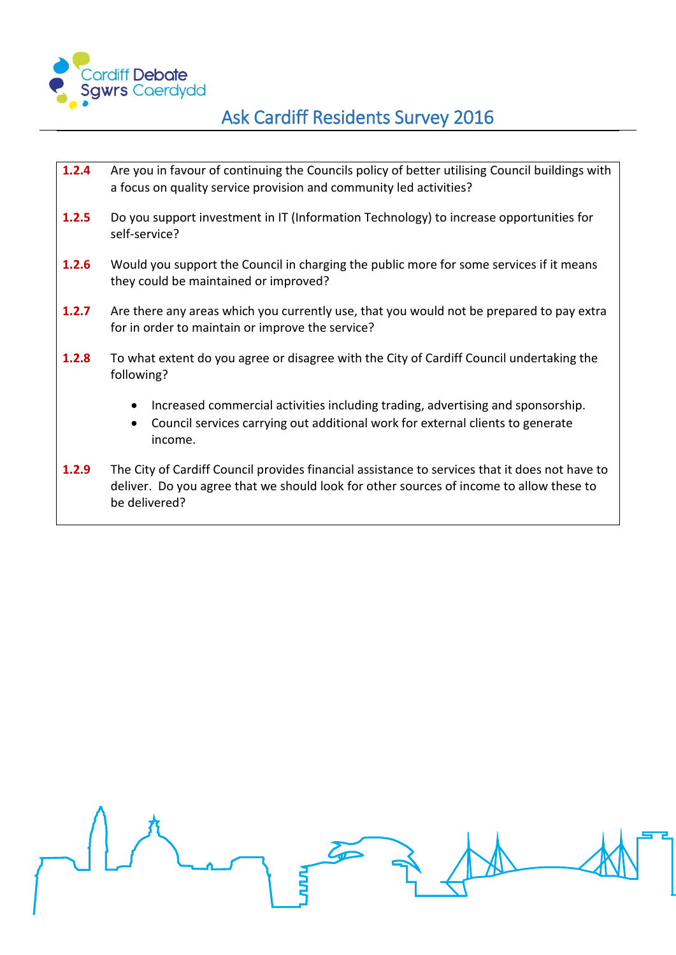

- **1.2.4** [Are you in favour of continuing the Councils policy of better utilising](#page-18-0) Council buildings with [a focus on quality service provision and community led activities?](#page-18-0)
- **1.2.5** Do you support investment in IT (Information Technology) to increase opportunities for [self-service?](#page-19-0)
- **1.2.6** Would you support the Council in charging the public more for some services if it means [they could be maintained or improved?](#page-20-0)
- **1.2.7** [Are there any areas which you currently use, that you would not be prepared to pay extra](#page-22-0)  [for in order to maintain or improve the service?](#page-22-0)
- **1.2.8** [To what extent do you agree or disagree with the City of Cardiff Council undertaking the](#page-26-0)  [following?](#page-26-0)
	- Increased commercial activities including trading, advertising and sponsorship.
	- Council services carrying out additional work for external clients to generate income.
- **1.2.9** [The City of Cardiff Council provides financial assistance to services that it does not have to](#page-27-0)  [deliver. Do you agree that we should look for other sources of income to allow these to](#page-27-0)  [be delivered?](#page-27-0)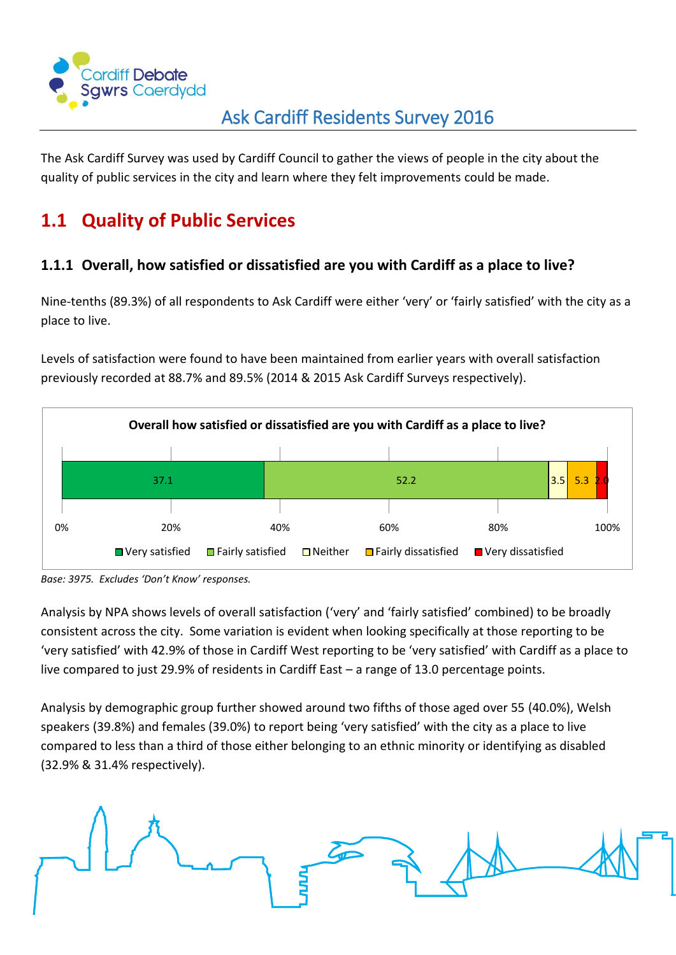

The Ask Cardiff Survey was used by Cardiff Council to gather the views of people in the city about the quality of public services in the city and learn where they felt improvements could be made.

## <span id="page-2-0"></span>**1.1 Quality of Public Services**

#### <span id="page-2-1"></span>**1.1.1 Overall, how satisfied or dissatisfied are you with Cardiff as a place to live?**

Nine-tenths (89.3%) of all respondents to Ask Cardiff were either 'very' or 'fairly satisfied' with the city as a place to live.

Levels of satisfaction were found to have been maintained from earlier years with overall satisfaction previously recorded at 88.7% and 89.5% (2014 & 2015 Ask Cardiff Surveys respectively).



*Base: 3975. Excludes 'Don't Know' responses.*

Analysis by NPA shows levels of overall satisfaction ('very' and 'fairly satisfied' combined) to be broadly consistent across the city. Some variation is evident when looking specifically at those reporting to be 'very satisfied' with 42.9% of those in Cardiff West reporting to be 'very satisfied' with Cardiff as a place to live compared to just 29.9% of residents in Cardiff East – a range of 13.0 percentage points.

Analysis by demographic group further showed around two fifths of those aged over 55 (40.0%), Welsh speakers (39.8%) and females (39.0%) to report being 'very satisfied' with the city as a place to live compared to less than a third of those either belonging to an ethnic minority or identifying as disabled (32.9% & 31.4% respectively).

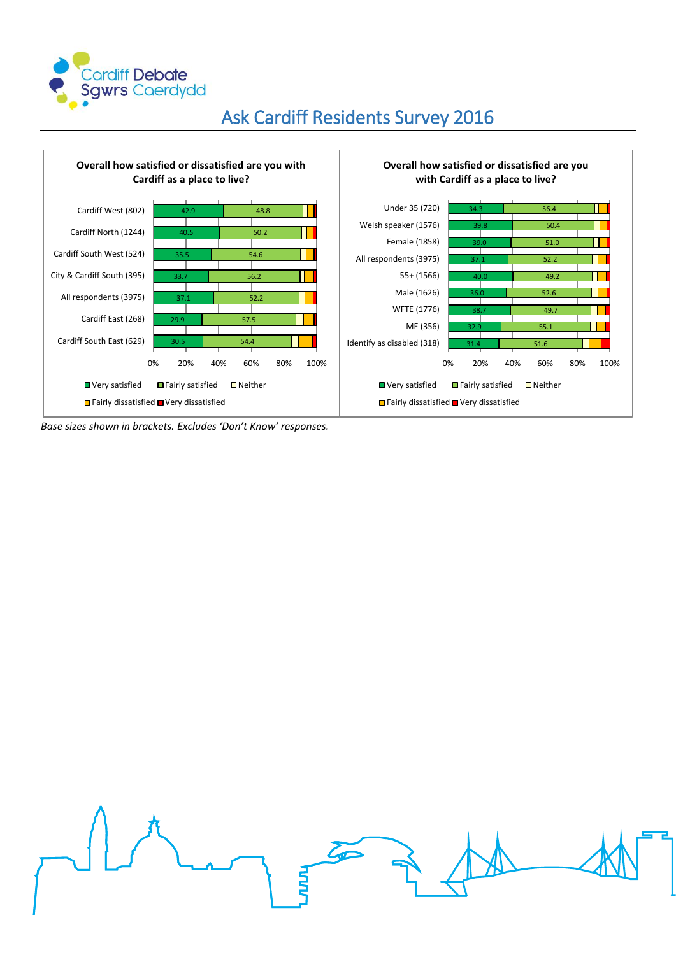



*Base sizes shown in brackets. Excludes 'Don't Know' responses.*

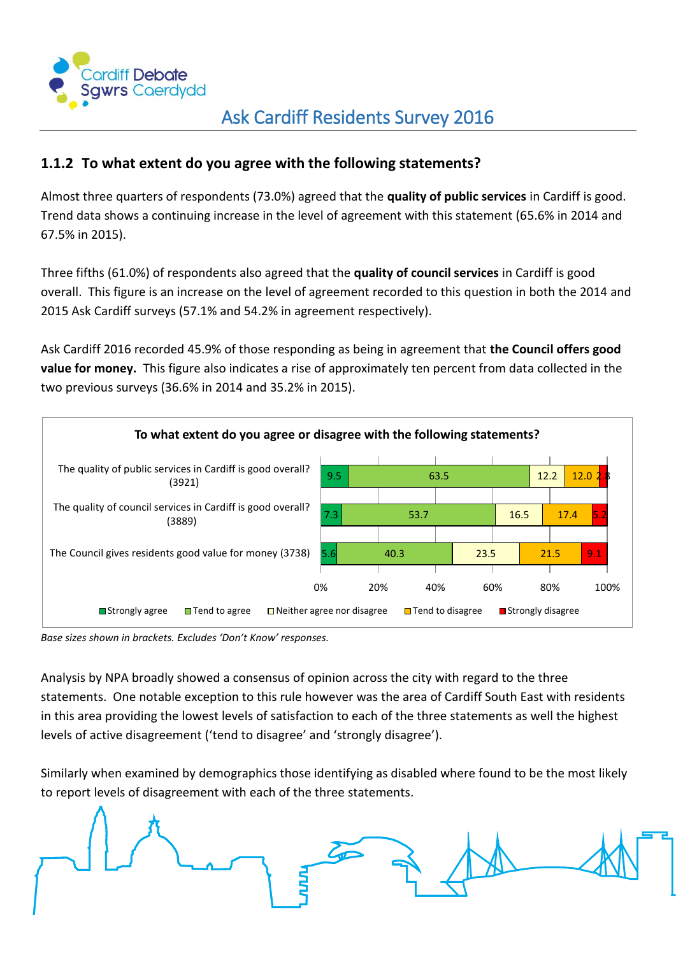

#### <span id="page-4-0"></span>**1.1.2 To what extent do you agree with the following statements?**

Almost three quarters of respondents (73.0%) agreed that the **quality of public services** in Cardiff is good. Trend data shows a continuing increase in the level of agreement with this statement (65.6% in 2014 and 67.5% in 2015).

Three fifths (61.0%) of respondents also agreed that the **quality of council services** in Cardiff is good overall. This figure is an increase on the level of agreement recorded to this question in both the 2014 and 2015 Ask Cardiff surveys (57.1% and 54.2% in agreement respectively).

Ask Cardiff 2016 recorded 45.9% of those responding as being in agreement that **the Council offers good value for money.** This figure also indicates a rise of approximately ten percent from data collected in the two previous surveys (36.6% in 2014 and 35.2% in 2015).



*Base sizes shown in brackets. Excludes 'Don't Know' responses.*

Analysis by NPA broadly showed a consensus of opinion across the city with regard to the three statements. One notable exception to this rule however was the area of Cardiff South East with residents in this area providing the lowest levels of satisfaction to each of the three statements as well the highest levels of active disagreement ('tend to disagree' and 'strongly disagree').

Similarly when examined by demographics those identifying as disabled where found to be the most likely to report levels of disagreement with each of the three statements.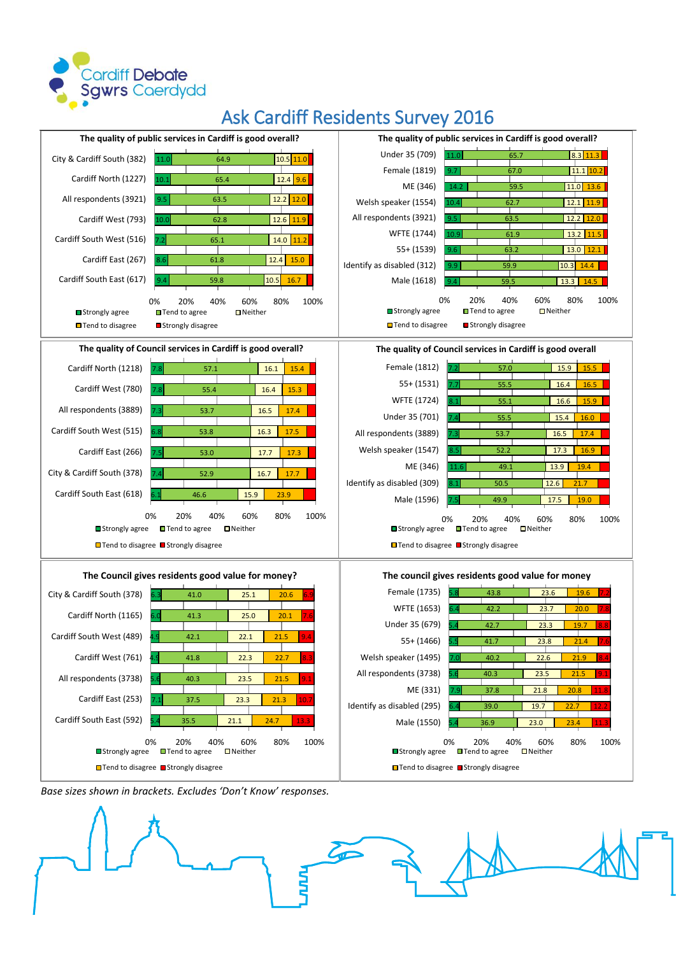



*Base sizes shown in brackets. Excludes 'Don't Know' responses.*

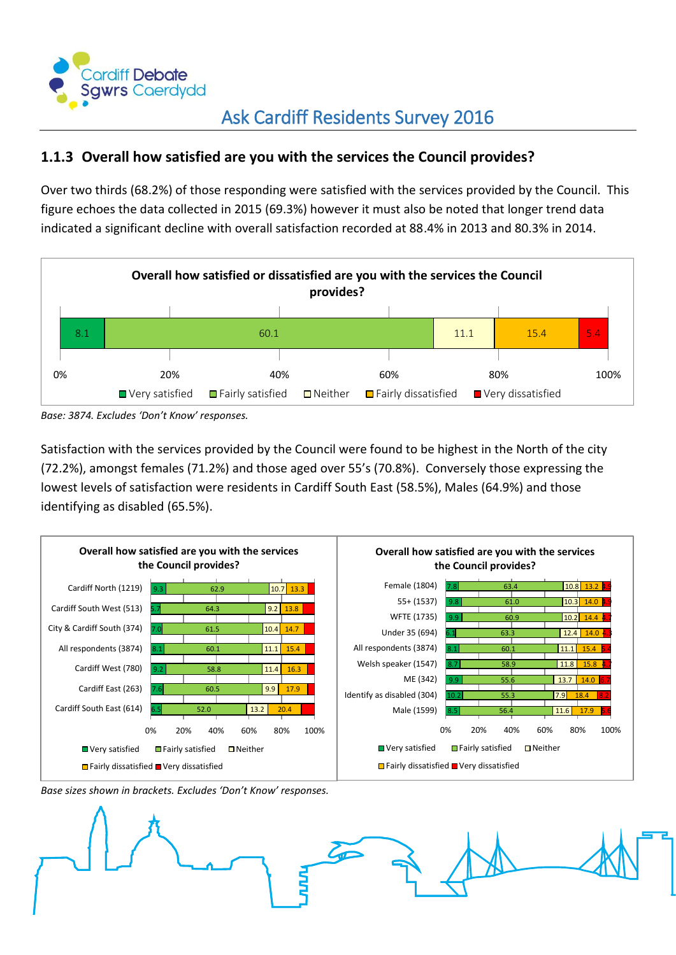

#### <span id="page-6-0"></span>**1.1.3 Overall how satisfied are you with the services the Council provides?**

Over two thirds (68.2%) of those responding were satisfied with the services provided by the Council. This figure echoes the data collected in 2015 (69.3%) however it must also be noted that longer trend data indicated a significant decline with overall satisfaction recorded at 88.4% in 2013 and 80.3% in 2014.



*Base: 3874. Excludes 'Don't Know' responses.*

Satisfaction with the services provided by the Council were found to be highest in the North of the city (72.2%), amongst females (71.2%) and those aged over 55's (70.8%). Conversely those expressing the lowest levels of satisfaction were residents in Cardiff South East (58.5%), Males (64.9%) and those identifying as disabled (65.5%).





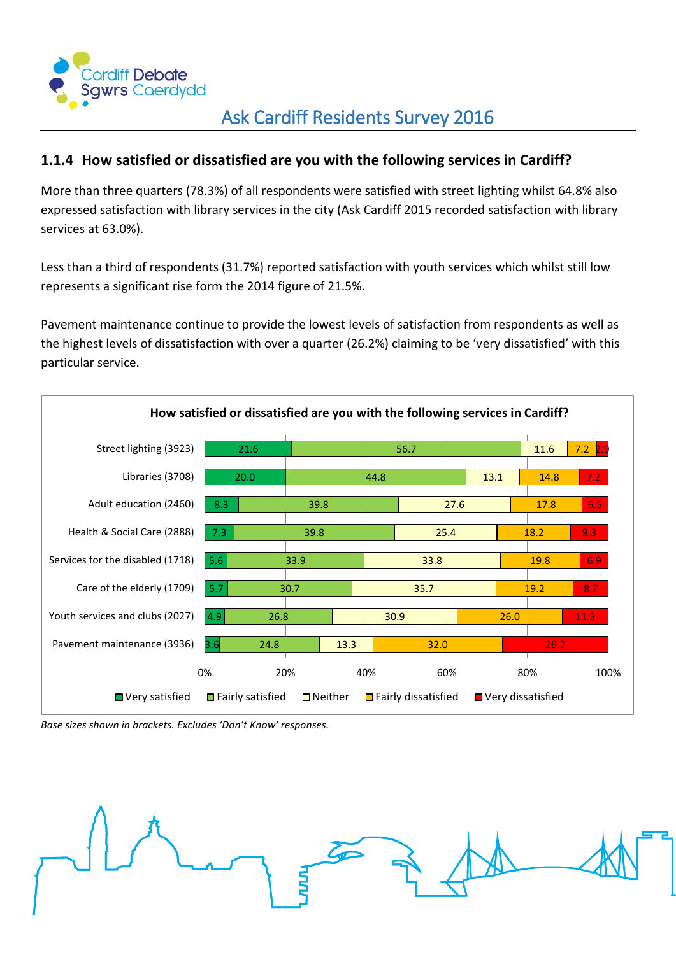

#### <span id="page-7-0"></span>**1.1.4 How satisfied or dissatisfied are you with the following services in Cardiff?**

More than three quarters (78.3%) of all respondents were satisfied with street lighting whilst 64.8% also expressed satisfaction with library services in the city (Ask Cardiff 2015 recorded satisfaction with library services at 63.0%).

Less than a third of respondents (31.7%) reported satisfaction with youth services which whilst still low represents a significant rise form the 2014 figure of 21.5%.

Pavement maintenance continue to provide the lowest levels of satisfaction from respondents as well as the highest levels of dissatisfaction with over a quarter (26.2%) claiming to be 'very dissatisfied' with this particular service.



*Base sizes shown in brackets. Excludes 'Don't Know' responses.*

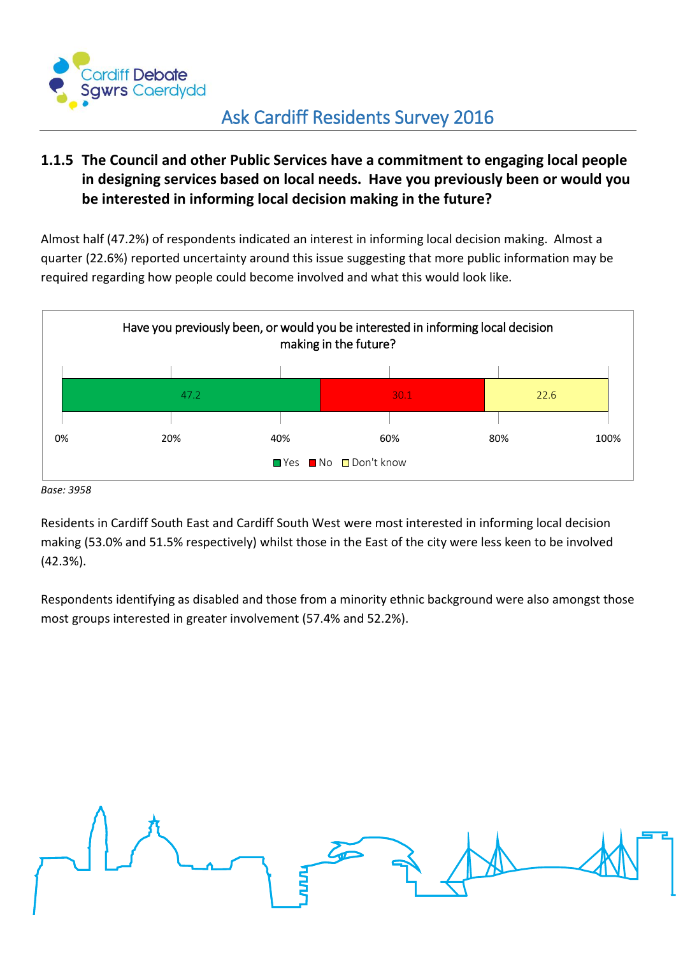

#### <span id="page-8-0"></span>**1.1.5 The Council and other Public Services have a commitment to engaging local people in designing services based on local needs. Have you previously been or would you be interested in informing local decision making in the future?**

Almost half (47.2%) of respondents indicated an interest in informing local decision making. Almost a quarter (22.6%) reported uncertainty around this issue suggesting that more public information may be required regarding how people could become involved and what this would look like.



*Base: 3958*

Residents in Cardiff South East and Cardiff South West were most interested in informing local decision making (53.0% and 51.5% respectively) whilst those in the East of the city were less keen to be involved (42.3%).

Respondents identifying as disabled and those from a minority ethnic background were also amongst those most groups interested in greater involvement (57.4% and 52.2%).

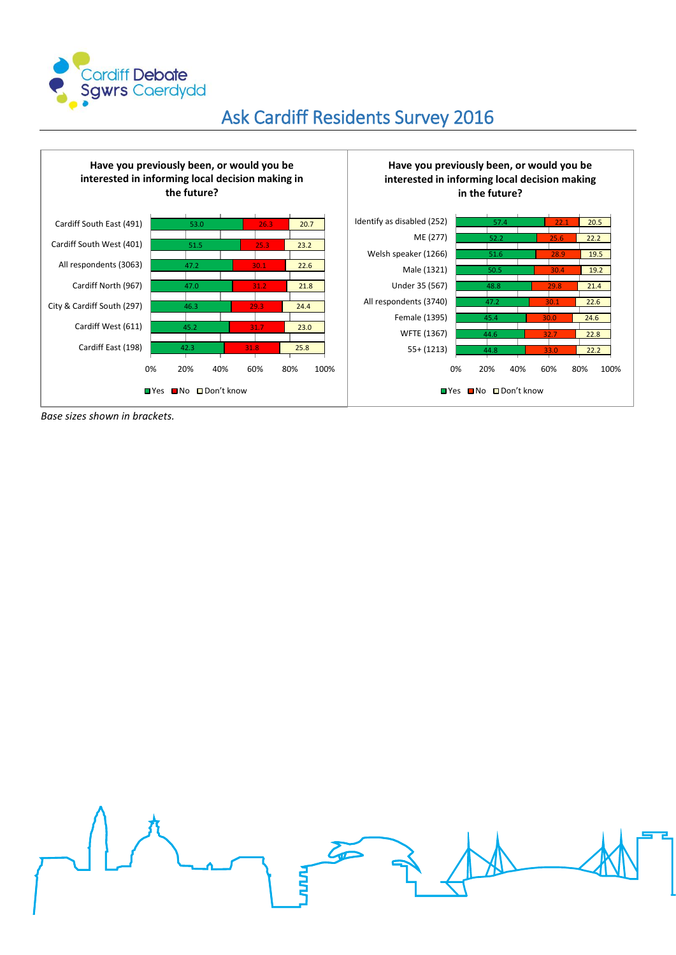



*Base sizes shown in brackets.*

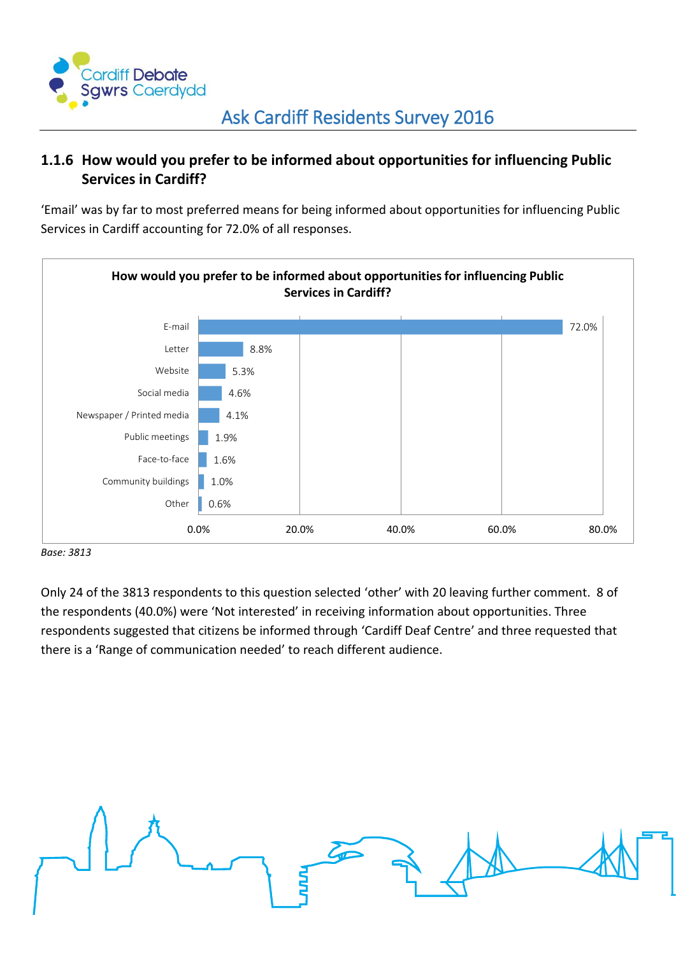

#### <span id="page-10-0"></span>**1.1.6 How would you prefer to be informed about opportunities for influencing Public Services in Cardiff?**

'Email' was by far to most preferred means for being informed about opportunities for influencing Public Services in Cardiff accounting for 72.0% of all responses.



#### *Base: 3813*

Only 24 of the 3813 respondents to this question selected 'other' with 20 leaving further comment. 8 of the respondents (40.0%) were 'Not interested' in receiving information about opportunities. Three respondents suggested that citizens be informed through 'Cardiff Deaf Centre' and three requested that there is a 'Range of communication needed' to reach different audience.

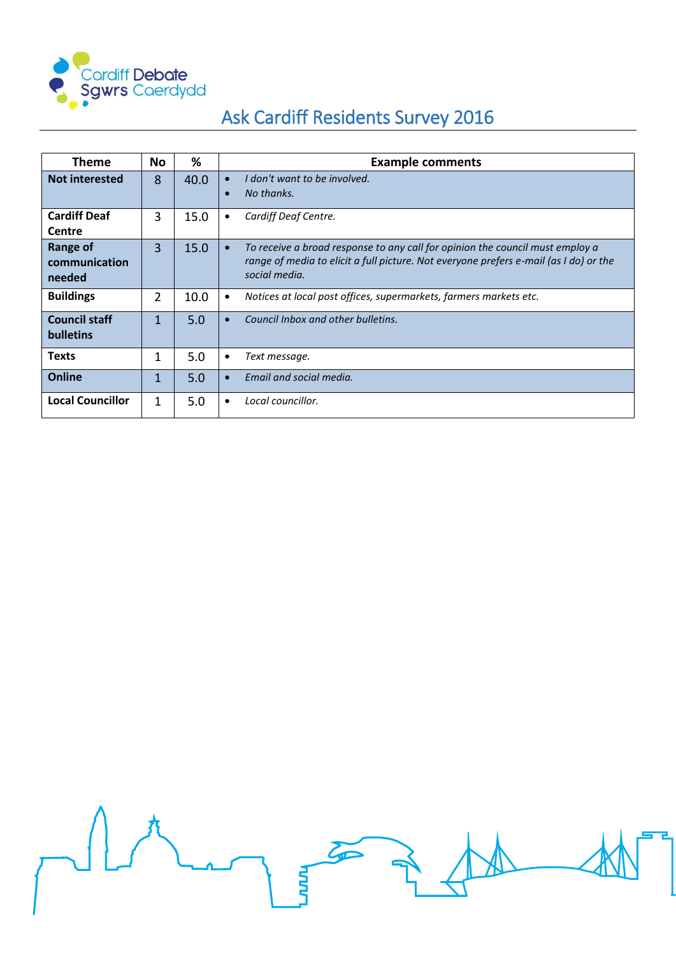

| Theme                                      | <b>No</b>      | ℅    | <b>Example comments</b>                                                                                                                                                                              |
|--------------------------------------------|----------------|------|------------------------------------------------------------------------------------------------------------------------------------------------------------------------------------------------------|
| <b>Not interested</b>                      | 8              | 40.0 | I don't want to be involved.<br>$\bullet$<br>No thanks.<br>$\bullet$                                                                                                                                 |
| <b>Cardiff Deaf</b><br><b>Centre</b>       | 3              | 15.0 | Cardiff Deaf Centre.<br>$\bullet$                                                                                                                                                                    |
| <b>Range of</b><br>communication<br>needed | 3              | 15.0 | To receive a broad response to any call for opinion the council must employ a<br>$\bullet$<br>range of media to elicit a full picture. Not everyone prefers e-mail (as I do) or the<br>social media. |
| <b>Buildings</b>                           | $\overline{2}$ | 10.0 | Notices at local post offices, supermarkets, farmers markets etc.<br>$\bullet$                                                                                                                       |
| <b>Council staff</b><br><b>bulletins</b>   | $\mathbf{1}$   | 5.0  | Council Inbox and other bulletins.                                                                                                                                                                   |
| Texts                                      | $\mathbf{1}$   | 5.0  | Text message.<br>$\bullet$                                                                                                                                                                           |
| <b>Online</b>                              | $\mathbf{1}$   | 5.0  | Email and social media.<br>$\bullet$                                                                                                                                                                 |
| <b>Local Councillor</b>                    | 1              | 5.0  | Local councillor.<br>$\bullet$                                                                                                                                                                       |

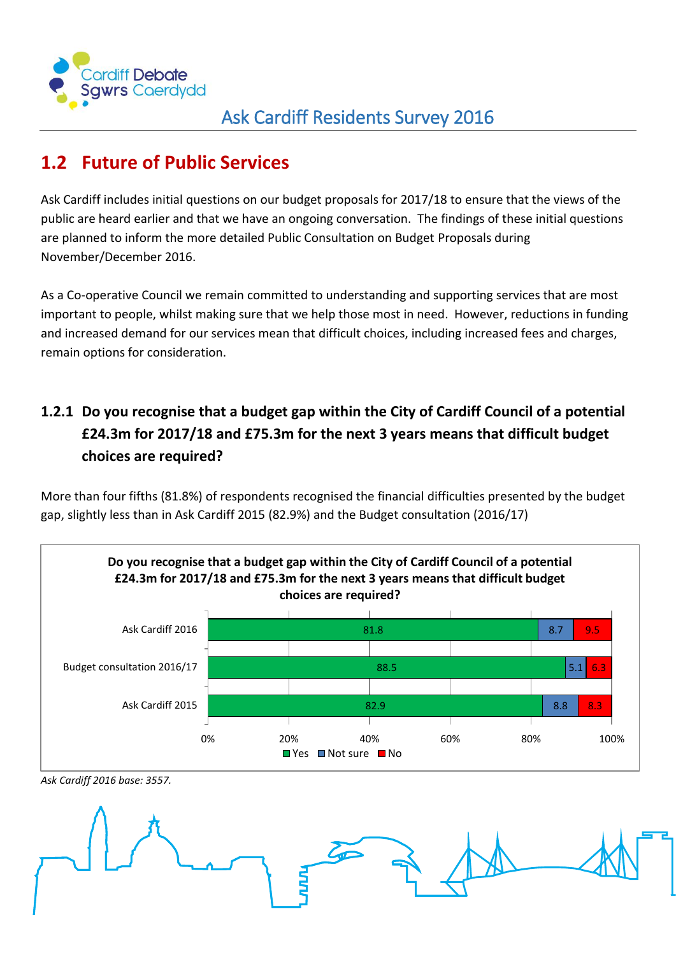

## <span id="page-12-0"></span>**1.2 Future of Public Services**

Ask Cardiff includes initial questions on our budget proposals for 2017/18 to ensure that the views of the public are heard earlier and that we have an ongoing conversation. The findings of these initial questions are planned to inform the more detailed Public Consultation on Budget Proposals during November/December 2016.

As a Co-operative Council we remain committed to understanding and supporting services that are most important to people, whilst making sure that we help those most in need. However, reductions in funding and increased demand for our services mean that difficult choices, including increased fees and charges, remain options for consideration.

## <span id="page-12-1"></span>**1.2.1 Do you recognise that a budget gap within the City of Cardiff Council of a potential £24.3m for 2017/18 and £75.3m for the next 3 years means that difficult budget choices are required?**

More than four fifths (81.8%) of respondents recognised the financial difficulties presented by the budget gap, slightly less than in Ask Cardiff 2015 (82.9%) and the Budget consultation (2016/17)



*Ask Cardiff 2016 base: 3557.*

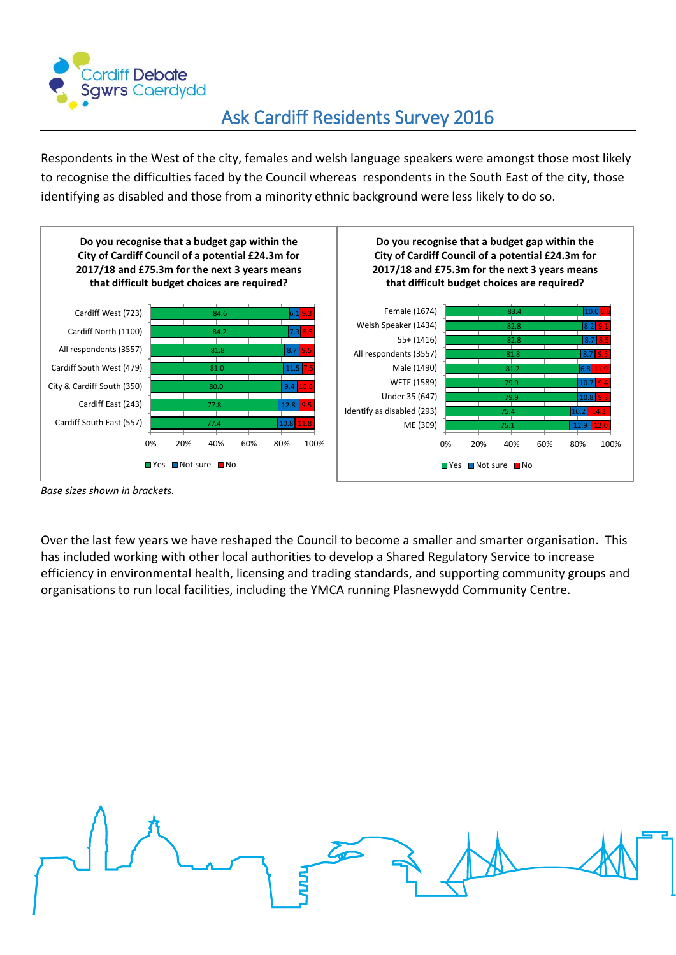

Respondents in the West of the city, females and welsh language speakers were amongst those most likely to recognise the difficulties faced by the Council whereas respondents in the South East of the city, those identifying as disabled and those from a minority ethnic background were less likely to do so.



*Base sizes shown in brackets.*

Over the last few years we have reshaped the Council to become a smaller and smarter organisation. This has included working with other local authorities to develop a Shared Regulatory Service to increase efficiency in environmental health, licensing and trading standards, and supporting community groups and organisations to run local facilities, including the YMCA running Plasnewydd Community Centre.

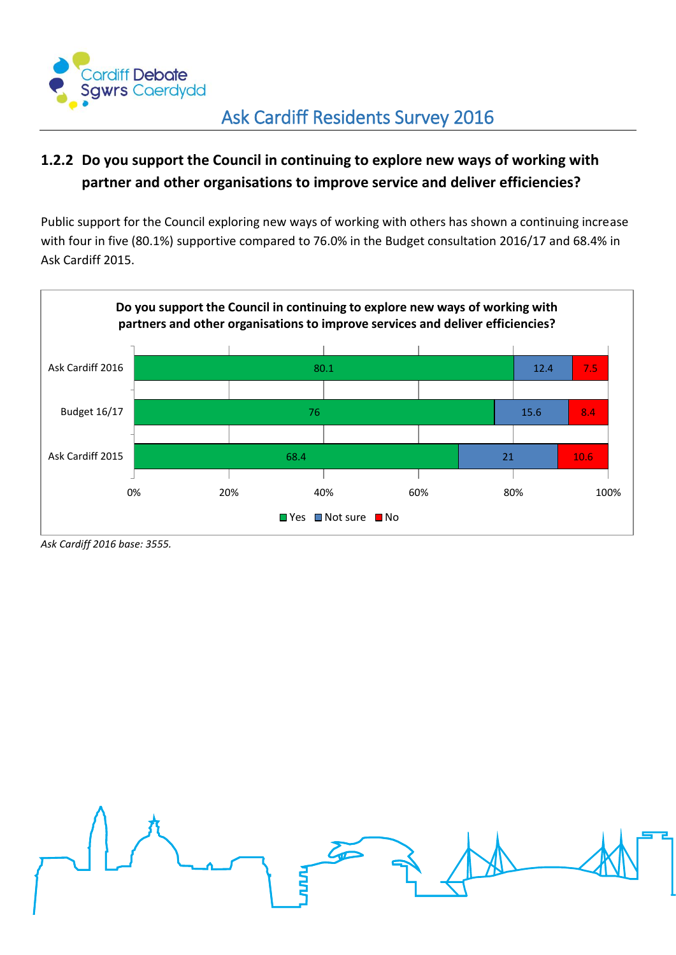

#### <span id="page-14-0"></span>**1.2.2 Do you support the Council in continuing to explore new ways of working with partner and other organisations to improve service and deliver efficiencies?**

Public support for the Council exploring new ways of working with others has shown a continuing increase with four in five (80.1%) supportive compared to 76.0% in the Budget consultation 2016/17 and 68.4% in Ask Cardiff 2015.



*Ask Cardiff 2016 base: 3555.*

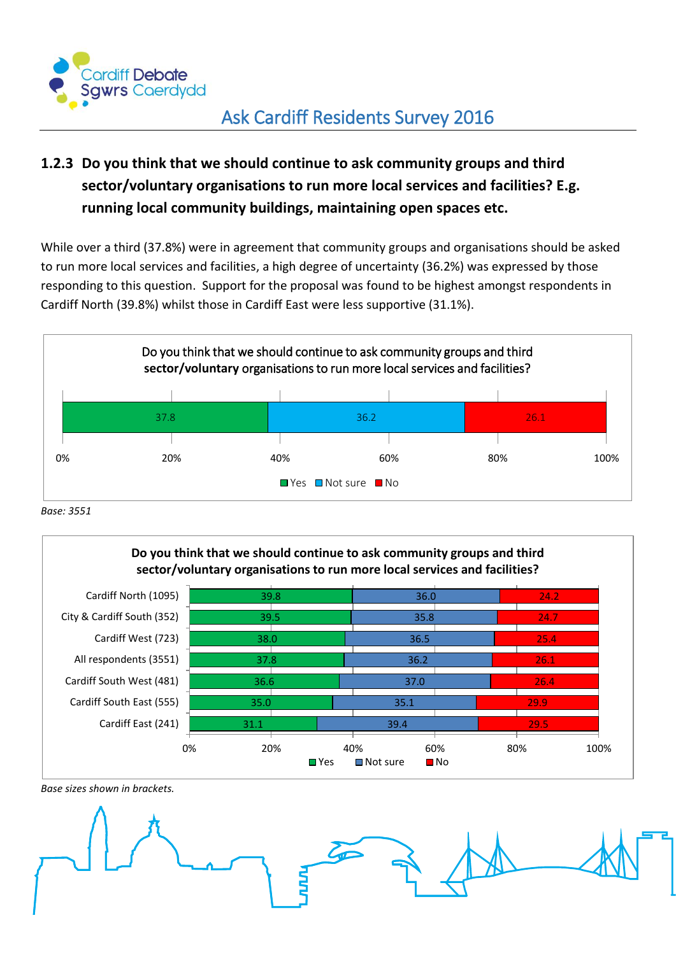

### <span id="page-15-0"></span>**1.2.3 Do you think that we should continue to ask community groups and third sector/voluntary organisations to run more local services and facilities? E.g. running local community buildings, maintaining open spaces etc.**

While over a third (37.8%) were in agreement that community groups and organisations should be asked to run more local services and facilities, a high degree of uncertainty (36.2%) was expressed by those responding to this question. Support for the proposal was found to be highest amongst respondents in Cardiff North (39.8%) whilst those in Cardiff East were less supportive (31.1%).



*Base: 3551*



*Base sizes shown in brackets.*

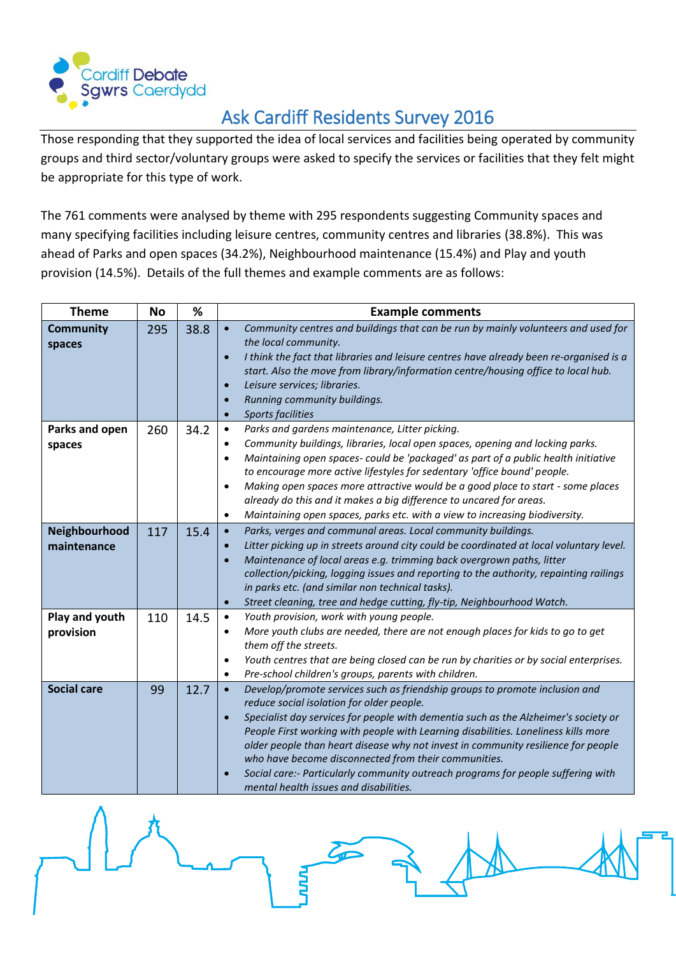

Those responding that they supported the idea of local services and facilities being operated by community groups and third sector/voluntary groups were asked to specify the services or facilities that they felt might be appropriate for this type of work.

The 761 comments were analysed by theme with 295 respondents suggesting Community spaces and many specifying facilities including leisure centres, community centres and libraries (38.8%). This was ahead of Parks and open spaces (34.2%), Neighbourhood maintenance (15.4%) and Play and youth provision (14.5%). Details of the full themes and example comments are as follows:

| <b>Theme</b>                 | <b>No</b> | %    | <b>Example comments</b>                                                                                                                                                                                                                                                                                                                                                                                                                                                                                                                                                                                                 |
|------------------------------|-----------|------|-------------------------------------------------------------------------------------------------------------------------------------------------------------------------------------------------------------------------------------------------------------------------------------------------------------------------------------------------------------------------------------------------------------------------------------------------------------------------------------------------------------------------------------------------------------------------------------------------------------------------|
| <b>Community</b><br>spaces   | 295       | 38.8 | Community centres and buildings that can be run by mainly volunteers and used for<br>$\bullet$<br>the local community.<br>I think the fact that libraries and leisure centres have already been re-organised is a<br>$\bullet$<br>start. Also the move from library/information centre/housing office to local hub.<br>Leisure services; libraries.<br>$\bullet$<br>Running community buildings.<br>$\bullet$<br><b>Sports facilities</b><br>$\bullet$                                                                                                                                                                  |
| Parks and open<br>spaces     | 260       | 34.2 | Parks and gardens maintenance, Litter picking.<br>$\bullet$<br>Community buildings, libraries, local open spaces, opening and locking parks.<br>$\bullet$<br>Maintaining open spaces- could be 'packaged' as part of a public health initiative<br>$\bullet$<br>to encourage more active lifestyles for sedentary 'office bound' people.<br>Making open spaces more attractive would be a good place to start - some places<br>$\bullet$<br>already do this and it makes a big difference to uncared for areas.<br>Maintaining open spaces, parks etc. with a view to increasing biodiversity.<br>$\bullet$             |
| Neighbourhood<br>maintenance | 117       | 15.4 | Parks, verges and communal areas. Local community buildings.<br>$\bullet$<br>Litter picking up in streets around city could be coordinated at local voluntary level.<br>$\bullet$<br>Maintenance of local areas e.g. trimming back overgrown paths, litter<br>$\bullet$<br>collection/picking, logging issues and reporting to the authority, repainting railings<br>in parks etc. (and similar non technical tasks).<br>Street cleaning, tree and hedge cutting, fly-tip, Neighbourhood Watch.<br>$\bullet$                                                                                                            |
| Play and youth<br>provision  | 110       | 14.5 | Youth provision, work with young people.<br>$\bullet$<br>More youth clubs are needed, there are not enough places for kids to go to get<br>$\bullet$<br>them off the streets.<br>Youth centres that are being closed can be run by charities or by social enterprises.<br>$\bullet$<br>Pre-school children's groups, parents with children.<br>$\bullet$                                                                                                                                                                                                                                                                |
| <b>Social care</b>           | 99        | 12.7 | Develop/promote services such as friendship groups to promote inclusion and<br>$\bullet$<br>reduce social isolation for older people.<br>Specialist day services for people with dementia such as the Alzheimer's society or<br>$\bullet$<br>People First working with people with Learning disabilities. Loneliness kills more<br>older people than heart disease why not invest in community resilience for people<br>who have become disconnected from their communities.<br>Social care:- Particularly community outreach programs for people suffering with<br>$\bullet$<br>mental health issues and disabilities. |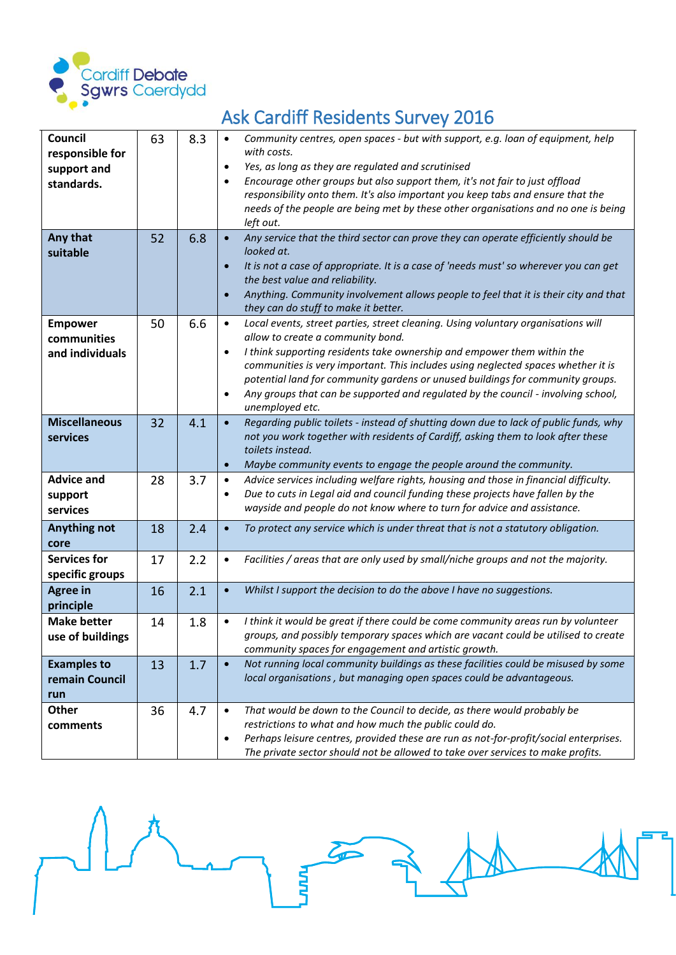

#### **Council responsible for support and standards.** 63 8.3 *Community centres, open spaces - but with support, e.g. loan of equipment, help with costs. Yes, as long as they are regulated and scrutinised Encourage other groups but also support them, it's not fair to just offload responsibility onto them. It's also important you keep tabs and ensure that the needs of the people are being met by these other organisations and no one is being left out.* **Any that suitable** 52 6.8 *Any service that the third sector can prove they can operate efficiently should be looked at. It is not a case of appropriate. It is a case of 'needs must' so wherever you can get the best value and reliability. Anything. Community involvement allows people to feel that it is their city and that they can do stuff to make it better.* **Empower communities and individuals** 50 6.6 *Local events, street parties, street cleaning. Using voluntary organisations will allow to create a community bond. I think supporting residents take ownership and empower them within the communities is very important. This includes using neglected spaces whether it is potential land for community gardens or unused buildings for community groups. Any groups that can be supported and regulated by the council - involving school, unemployed etc.* **Miscellaneous services** 32 4.1 *Regarding public toilets - instead of shutting down due to lack of public funds, why not you work together with residents of Cardiff, asking them to look after these toilets instead. Maybe community events to engage the people around the community.* **Advice and support services** 28 **3.7 •** Advice services including welfare rights, housing and those in financial difficulty. *Due to cuts in Legal aid and council funding these projects have fallen by the wayside and people do not know where to turn for advice and assistance.* **Anything not core** 18 2.4 *To protect any service which is under threat that is not a statutory obligation.* **Services for specific groups** 17 2.2 *Facilities / areas that are only used by small/niche groups and not the majority.* **Agree in principle** 16 2.1 *Whilst I support the decision to do the above I have no suggestions.* **Make better use of buildings** 14 1.8 *I think it would be great if there could be come community areas run by volunteer groups, and possibly temporary spaces which are vacant could be utilised to create community spaces for engagement and artistic growth.* **Examples to remain Council run** 13 **1.7 •** Not running local community buildings as these facilities could be misused by some *local organisations , but managing open spaces could be advantageous.* **Other comments** 36 4.7 *That would be down to the Council to decide, as there would probably be restrictions to what and how much the public could do. Perhaps leisure centres, provided these are run as not-for-profit/social enterprises. The private sector should not be allowed to take over services to make profits.*

## Ask Cardiff Residents Survey 2016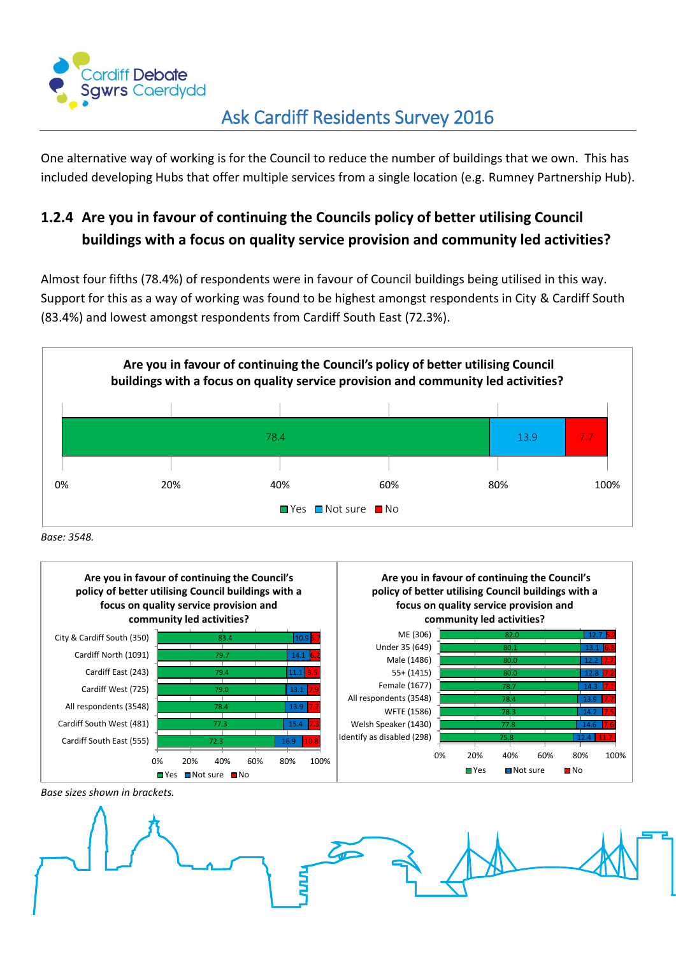

One alternative way of working is for the Council to reduce the number of buildings that we own. This has included developing Hubs that offer multiple services from a single location (e.g. Rumney Partnership Hub).

## <span id="page-18-0"></span>**1.2.4 Are you in favour of continuing the Councils policy of better utilising Council buildings with a focus on quality service provision and community led activities?**

Almost four fifths (78.4%) of respondents were in favour of Council buildings being utilised in this way. Support for this as a way of working was found to be highest amongst respondents in City & Cardiff South (83.4%) and lowest amongst respondents from Cardiff South East (72.3%).



*Base: 3548.*



*Base sizes shown in brackets.*

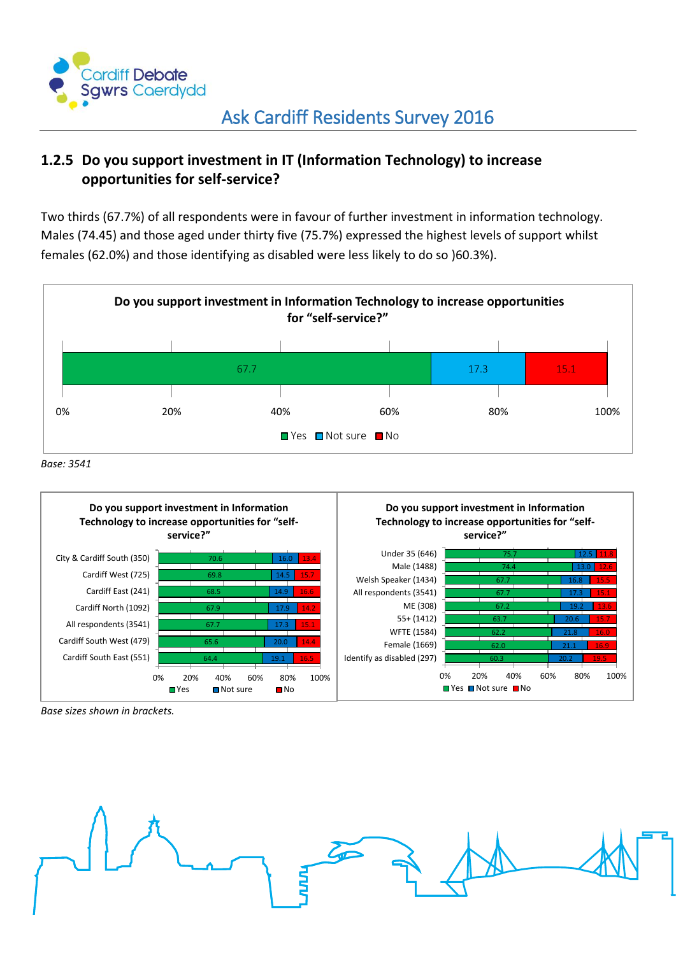

#### <span id="page-19-0"></span>**1.2.5 Do you support investment in IT (Information Technology) to increase opportunities for self-service?**

Two thirds (67.7%) of all respondents were in favour of further investment in information technology. Males (74.45) and those aged under thirty five (75.7%) expressed the highest levels of support whilst females (62.0%) and those identifying as disabled were less likely to do so )60.3%).







*Base sizes shown in brackets.*

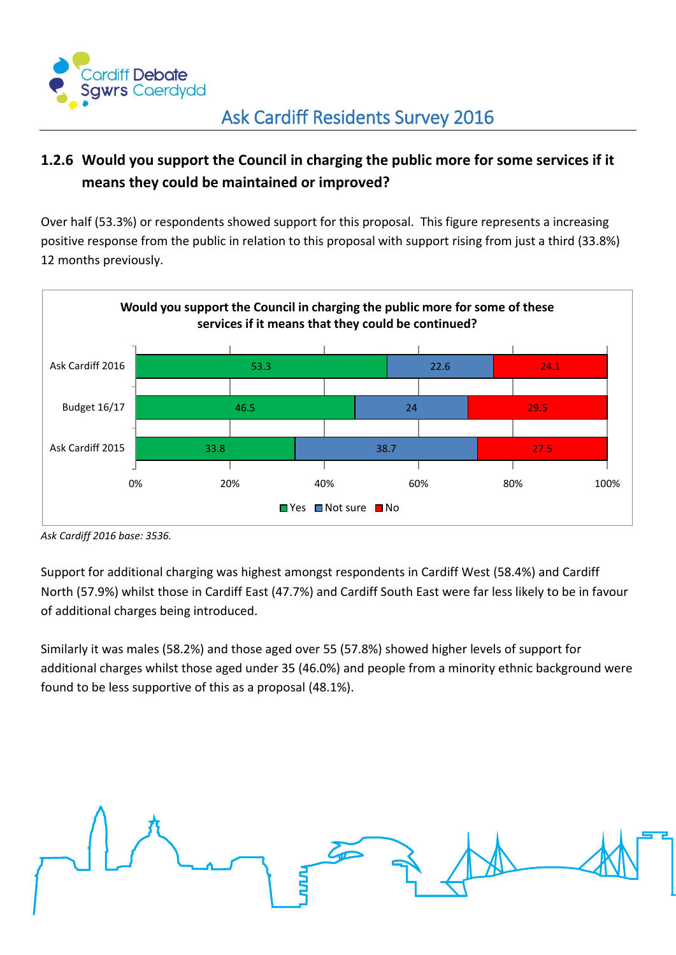

#### <span id="page-20-0"></span>**1.2.6 Would you support the Council in charging the public more for some services if it means they could be maintained or improved?**

Over half (53.3%) or respondents showed support for this proposal. This figure represents a increasing positive response from the public in relation to this proposal with support rising from just a third (33.8%) 12 months previously.



*Ask Cardiff 2016 base: 3536.*

Support for additional charging was highest amongst respondents in Cardiff West (58.4%) and Cardiff North (57.9%) whilst those in Cardiff East (47.7%) and Cardiff South East were far less likely to be in favour of additional charges being introduced.

Similarly it was males (58.2%) and those aged over 55 (57.8%) showed higher levels of support for additional charges whilst those aged under 35 (46.0%) and people from a minority ethnic background were found to be less supportive of this as a proposal (48.1%).

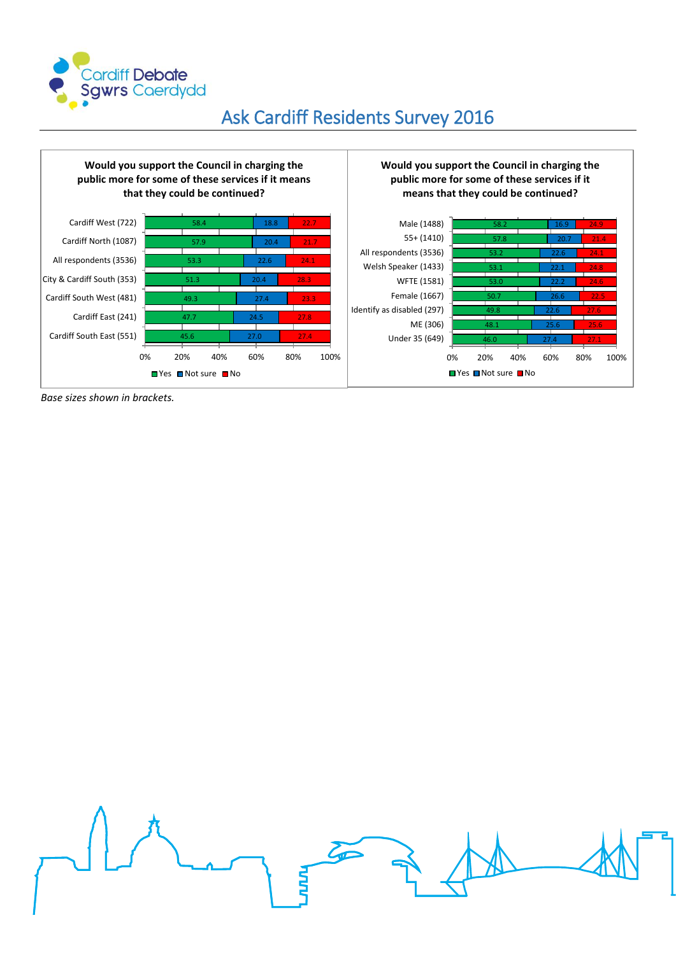

#### 45.6  $\lambda$ 7 49.3 51.3 53.3 57.9 58.4 27.0 24.5 27.4 20.4 22.6 20.4 18.8 27.4 27.8 23.3 28.3 24.1 21.7 22.7 0% 20% 40% 60% 80% 100% Cardiff South East (551) Cardiff East (241) Cardiff South West (481) City & Cardiff South (353) All respondents (3536) Cardiff North (1087) Cardiff West (722) **Would you support the Council in charging the public more for some of these services if it means that they could be continued?**  ■Yes ■Not sure ■No 46.0 48.1 49.8 50.7 53.0 53.1 53.2 57.8 58.2 27.4 25.6 22.6 26.6 22.2 22.1 22.6 20.7 16.9 27.1 25.6 27.6 22.5 24.6 24.8 24.1 21.4 24.9 0% 20% 40% 60% 80% 100% Under 35 (649) ME (306) Identify as disabled (297) Female (1667) WFTE (1581) Welsh Speaker (1433) All respondents (3536) 55+ (1410) Male (1488) **Would you support the Council in charging the public more for some of these services if it means that they could be continued?**  ■ Yes ■ Not sure ■ No

*Base sizes shown in brackets.*

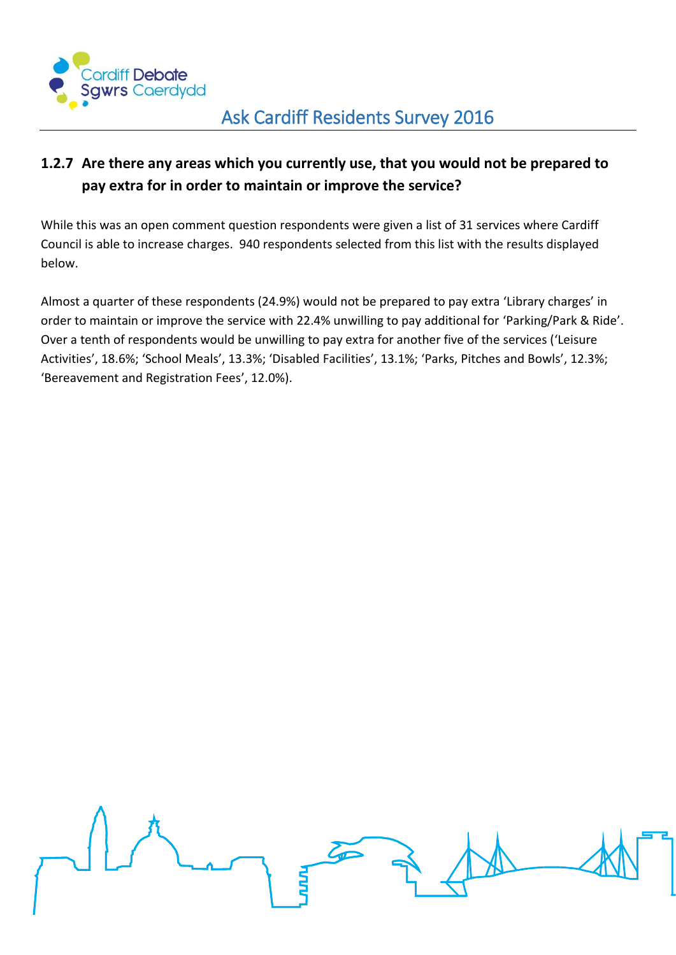

#### <span id="page-22-0"></span>**1.2.7 Are there any areas which you currently use, that you would not be prepared to pay extra for in order to maintain or improve the service?**

While this was an open comment question respondents were given a list of 31 services where Cardiff Council is able to increase charges. 940 respondents selected from this list with the results displayed below.

Almost a quarter of these respondents (24.9%) would not be prepared to pay extra 'Library charges' in order to maintain or improve the service with 22.4% unwilling to pay additional for 'Parking/Park & Ride'. Over a tenth of respondents would be unwilling to pay extra for another five of the services ('Leisure Activities', 18.6%; 'School Meals', 13.3%; 'Disabled Facilities', 13.1%; 'Parks, Pitches and Bowls', 12.3%; 'Bereavement and Registration Fees', 12.0%).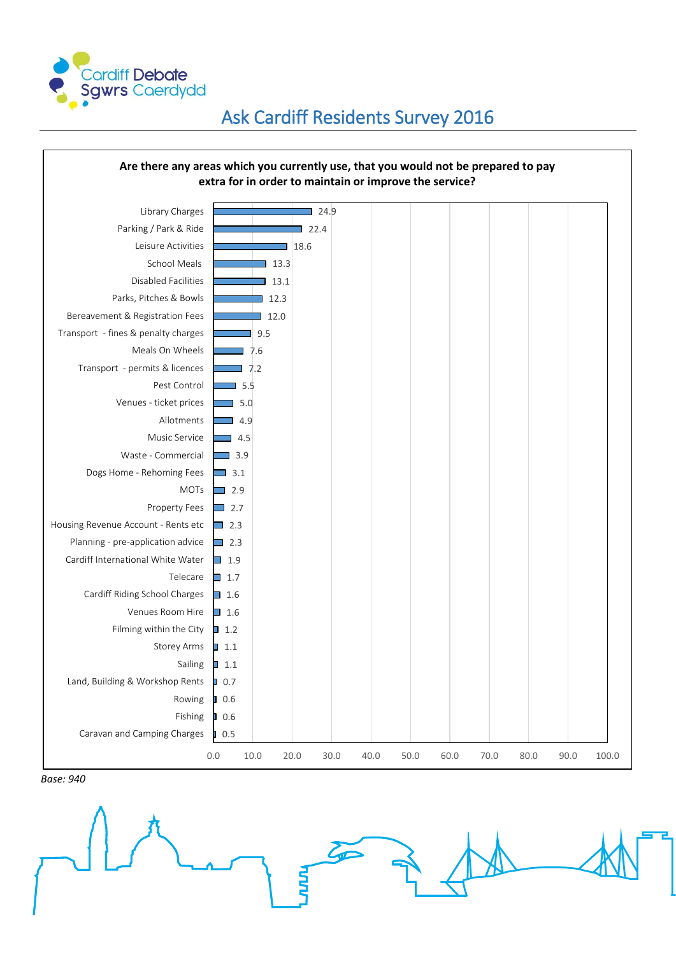



*Base: 940*

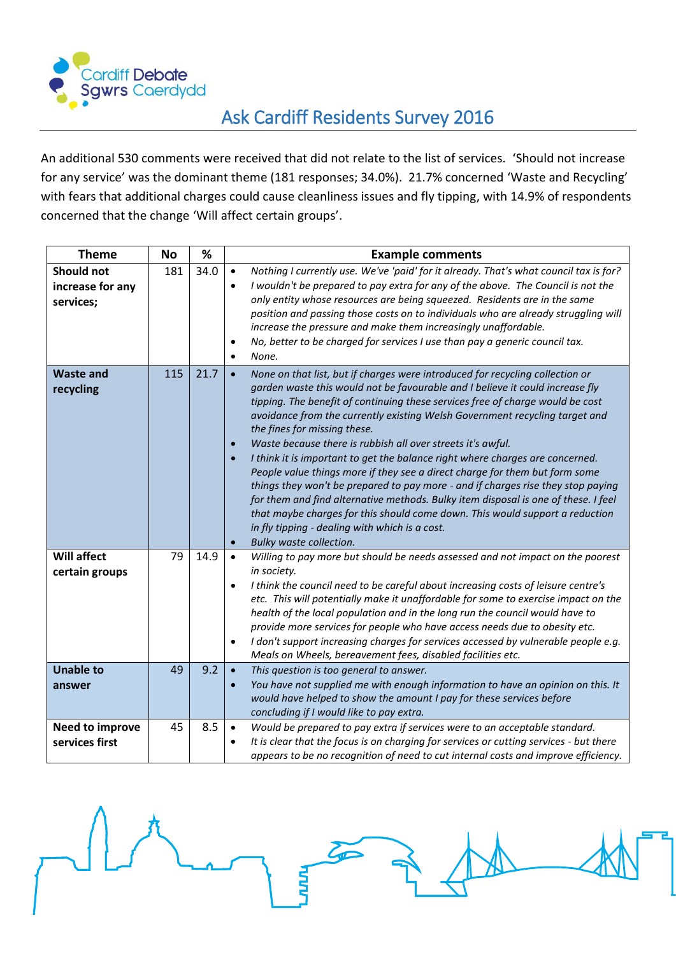

An additional 530 comments were received that did not relate to the list of services. 'Should not increase for any service' was the dominant theme (181 responses; 34.0%). 21.7% concerned 'Waste and Recycling' with fears that additional charges could cause cleanliness issues and fly tipping, with 14.9% of respondents concerned that the change 'Will affect certain groups'.

| <b>Theme</b>                                       | <b>No</b> | %    | <b>Example comments</b>                                                                                                                                                                                                                                                                                                                                                                                                                                                                                                                                                                                                                                                                                                                                                                                                                                                                                                                                                                   |
|----------------------------------------------------|-----------|------|-------------------------------------------------------------------------------------------------------------------------------------------------------------------------------------------------------------------------------------------------------------------------------------------------------------------------------------------------------------------------------------------------------------------------------------------------------------------------------------------------------------------------------------------------------------------------------------------------------------------------------------------------------------------------------------------------------------------------------------------------------------------------------------------------------------------------------------------------------------------------------------------------------------------------------------------------------------------------------------------|
| <b>Should not</b><br>increase for any<br>services; | 181       | 34.0 | Nothing I currently use. We've 'paid' for it already. That's what council tax is for?<br>$\bullet$<br>I wouldn't be prepared to pay extra for any of the above. The Council is not the<br>$\bullet$<br>only entity whose resources are being squeezed. Residents are in the same<br>position and passing those costs on to individuals who are already struggling will<br>increase the pressure and make them increasingly unaffordable.<br>No, better to be charged for services I use than pay a generic council tax.<br>$\bullet$<br>None.<br>$\bullet$                                                                                                                                                                                                                                                                                                                                                                                                                                |
| <b>Waste and</b><br>recycling                      | 115       | 21.7 | None on that list, but if charges were introduced for recycling collection or<br>$\bullet$<br>garden waste this would not be favourable and I believe it could increase fly<br>tipping. The benefit of continuing these services free of charge would be cost<br>avoidance from the currently existing Welsh Government recycling target and<br>the fines for missing these.<br>Waste because there is rubbish all over streets it's awful.<br>$\bullet$<br>I think it is important to get the balance right where charges are concerned.<br>$\bullet$<br>People value things more if they see a direct charge for them but form some<br>things they won't be prepared to pay more - and if charges rise they stop paying<br>for them and find alternative methods. Bulky item disposal is one of these. I feel<br>that maybe charges for this should come down. This would support a reduction<br>in fly tipping - dealing with which is a cost.<br>Bulky waste collection.<br>$\bullet$ |
| <b>Will affect</b><br>certain groups               | 79        | 14.9 | Willing to pay more but should be needs assessed and not impact on the poorest<br>$\bullet$<br>in society.<br>I think the council need to be careful about increasing costs of leisure centre's<br>$\bullet$<br>etc. This will potentially make it unaffordable for some to exercise impact on the<br>health of the local population and in the long run the council would have to<br>provide more services for people who have access needs due to obesity etc.<br>I don't support increasing charges for services accessed by vulnerable people e.g.<br>$\bullet$<br>Meals on Wheels, bereavement fees, disabled facilities etc.                                                                                                                                                                                                                                                                                                                                                        |
| <b>Unable to</b><br>answer                         | 49        | 9.2  | This question is too general to answer.<br>$\bullet$<br>You have not supplied me with enough information to have an opinion on this. It<br>$\bullet$<br>would have helped to show the amount I pay for these services before<br>concluding if I would like to pay extra.                                                                                                                                                                                                                                                                                                                                                                                                                                                                                                                                                                                                                                                                                                                  |
| <b>Need to improve</b><br>services first           | 45        | 8.5  | Would be prepared to pay extra if services were to an acceptable standard.<br>$\bullet$<br>It is clear that the focus is on charging for services or cutting services - but there<br>appears to be no recognition of need to cut internal costs and improve efficiency.                                                                                                                                                                                                                                                                                                                                                                                                                                                                                                                                                                                                                                                                                                                   |

ś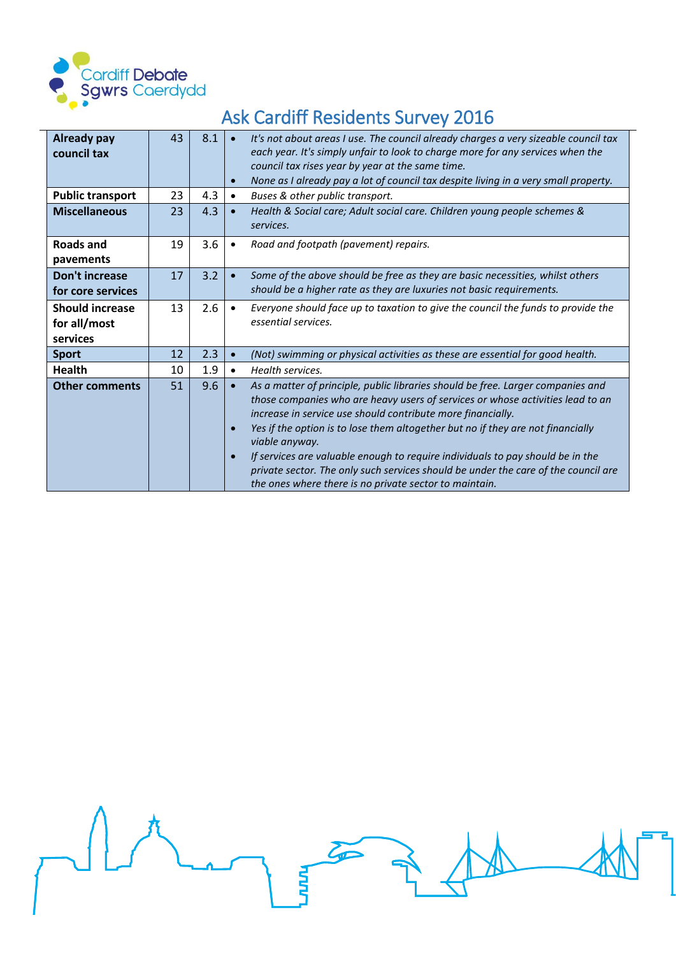

 $\overline{a}$ 

# Ask Cardiff Residents Survey 2016

| <b>Already pay</b><br>council tax<br><b>Public transport</b> | 43<br>23 | 8.1<br>4.3 | $\bullet$<br>$\bullet$<br>$\bullet$ | It's not about areas I use. The council already charges a very sizeable council tax<br>each year. It's simply unfair to look to charge more for any services when the<br>council tax rises year by year at the same time.<br>None as I already pay a lot of council tax despite living in a very small property.<br>Buses & other public transport.                                                                                                                                                                                                                     |
|--------------------------------------------------------------|----------|------------|-------------------------------------|-------------------------------------------------------------------------------------------------------------------------------------------------------------------------------------------------------------------------------------------------------------------------------------------------------------------------------------------------------------------------------------------------------------------------------------------------------------------------------------------------------------------------------------------------------------------------|
| <b>Miscellaneous</b>                                         | 23       | 4.3        | $\bullet$                           | Health & Social care; Adult social care. Children young people schemes &<br>services.                                                                                                                                                                                                                                                                                                                                                                                                                                                                                   |
| <b>Roads and</b><br>pavements                                | 19       | 3.6        | $\bullet$                           | Road and footpath (pavement) repairs.                                                                                                                                                                                                                                                                                                                                                                                                                                                                                                                                   |
| Don't increase<br>for core services                          | 17       | 3.2        |                                     | Some of the above should be free as they are basic necessities, whilst others<br>should be a higher rate as they are luxuries not basic requirements.                                                                                                                                                                                                                                                                                                                                                                                                                   |
| <b>Should increase</b><br>for all/most<br>services           | 13       | 2.6        |                                     | Everyone should face up to taxation to give the council the funds to provide the<br>essential services.                                                                                                                                                                                                                                                                                                                                                                                                                                                                 |
| <b>Sport</b>                                                 | 12       | 2.3        | $\bullet$                           | (Not) swimming or physical activities as these are essential for good health.                                                                                                                                                                                                                                                                                                                                                                                                                                                                                           |
| <b>Health</b>                                                | 10       | 1.9        | $\bullet$                           | Health services.                                                                                                                                                                                                                                                                                                                                                                                                                                                                                                                                                        |
| <b>Other comments</b>                                        | 51       | 9.6        | $\bullet$<br>$\bullet$              | As a matter of principle, public libraries should be free. Larger companies and<br>those companies who are heavy users of services or whose activities lead to an<br>increase in service use should contribute more financially.<br>Yes if the option is to lose them altogether but no if they are not financially<br>viable anyway.<br>If services are valuable enough to require individuals to pay should be in the<br>private sector. The only such services should be under the care of the council are<br>the ones where there is no private sector to maintain. |

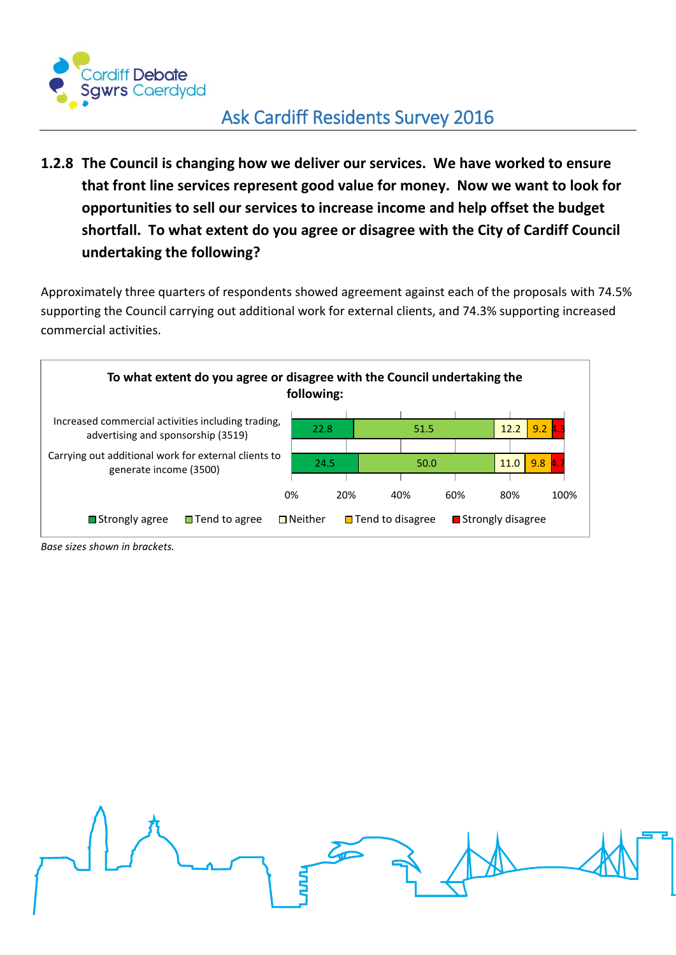

<span id="page-26-0"></span>**1.2.8 The Council is changing how we deliver our services. We have worked to ensure that front line services represent good value for money. Now we want to look for opportunities to sell our services to increase income and help offset the budget shortfall. To what extent do you agree or disagree with the City of Cardiff Council undertaking the following?**

Approximately three quarters of respondents showed agreement against each of the proposals with 74.5% supporting the Council carrying out additional work for external clients, and 74.3% supporting increased commercial activities.



*Base sizes shown in brackets.*